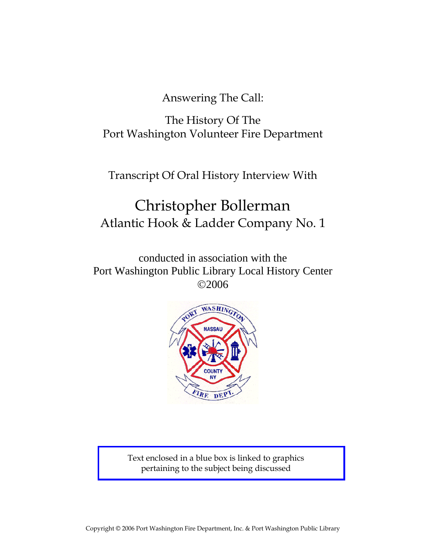Answering The Call:

The History Of The Port Washington Volunteer Fire Department

Transcript Of Oral History Interview With

# Christopher Bollerman Atlantic Hook & Ladder Company No. 1

conducted in association with the Port Washington Public Library Local History Center ©2006



Text enclosed in a blue box is linked to graphics pertaining to the subject being discussed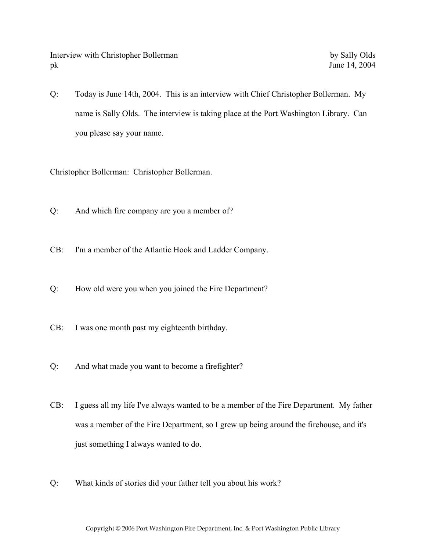Q: Today is June 14th, 2004. This is an interview with Chief Christopher Bollerman. My name is Sally Olds. The interview is taking place at the Port Washington Library. Can you please say your name.

Christopher Bollerman: Christopher Bollerman.

- Q: And which fire company are you a member of?
- CB: I'm a member of the Atlantic Hook and Ladder Company.
- Q: How old were you when you joined the Fire Department?
- CB: I was one month past my eighteenth birthday.
- Q: And what made you want to become a firefighter?
- CB: I guess all my life I've always wanted to be a member of the Fire Department. My father was a member of the Fire Department, so I grew up being around the firehouse, and it's just something I always wanted to do.
- Q: What kinds of stories did your father tell you about his work?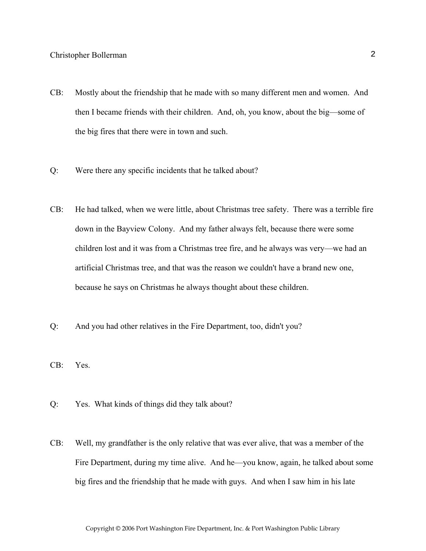- CB: Mostly about the friendship that he made with so many different men and women. And then I became friends with their children. And, oh, you know, about the big—some of the big fires that there were in town and such.
- Q: Were there any specific incidents that he talked about?
- CB: He had talked, when we were little, about Christmas tree safety. There was a terrible fire down in the Bayview Colony. And my father always felt, because there were some children lost and it was from a Christmas tree fire, and he always was very—we had an artificial Christmas tree, and that was the reason we couldn't have a brand new one, because he says on Christmas he always thought about these children.
- Q: And you had other relatives in the Fire Department, too, didn't you?
- CB: Yes.
- Q: Yes. What kinds of things did they talk about?
- CB: Well, my grandfather is the only relative that was ever alive, that was a member of the Fire Department, during my time alive. And he—you know, again, he talked about some big fires and the friendship that he made with guys. And when I saw him in his late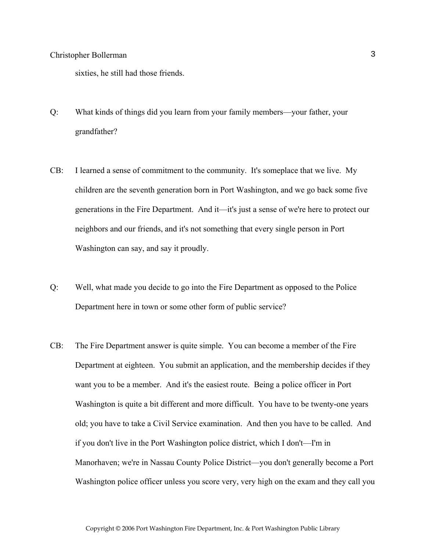sixties, he still had those friends.

- Q: What kinds of things did you learn from your family members—your father, your grandfather?
- CB: I learned a sense of commitment to the community. It's someplace that we live. My children are the seventh generation born in Port Washington, and we go back some five generations in the Fire Department. And it—it's just a sense of we're here to protect our neighbors and our friends, and it's not something that every single person in Port Washington can say, and say it proudly.
- Q: Well, what made you decide to go into the Fire Department as opposed to the Police Department here in town or some other form of public service?
- CB: The Fire Department answer is quite simple. You can become a member of the Fire Department at eighteen. You submit an application, and the membership decides if they want you to be a member. And it's the easiest route. Being a police officer in Port Washington is quite a bit different and more difficult. You have to be twenty-one years old; you have to take a Civil Service examination. And then you have to be called. And if you don't live in the Port Washington police district, which I don't—I'm in Manorhaven; we're in Nassau County Police District—you don't generally become a Port Washington police officer unless you score very, very high on the exam and they call you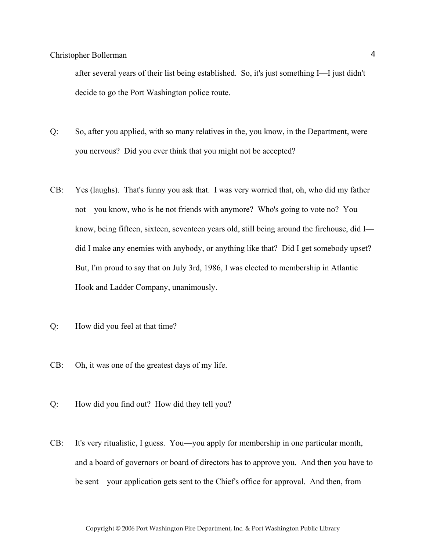after several years of their list being established. So, it's just something I—I just didn't decide to go the Port Washington police route.

- Q: So, after you applied, with so many relatives in the, you know, in the Department, were you nervous? Did you ever think that you might not be accepted?
- CB: Yes (laughs). That's funny you ask that. I was very worried that, oh, who did my father not—you know, who is he not friends with anymore? Who's going to vote no? You know, being fifteen, sixteen, seventeen years old, still being around the firehouse, did I did I make any enemies with anybody, or anything like that? Did I get somebody upset? But, I'm proud to say that on July 3rd, 1986, I was elected to membership in Atlantic Hook and Ladder Company, unanimously.
- Q: How did you feel at that time?
- CB: Oh, it was one of the greatest days of my life.
- Q: How did you find out? How did they tell you?
- CB: It's very ritualistic, I guess. You—you apply for membership in one particular month, and a board of governors or board of directors has to approve you. And then you have to be sent—your application gets sent to the Chief's office for approval. And then, from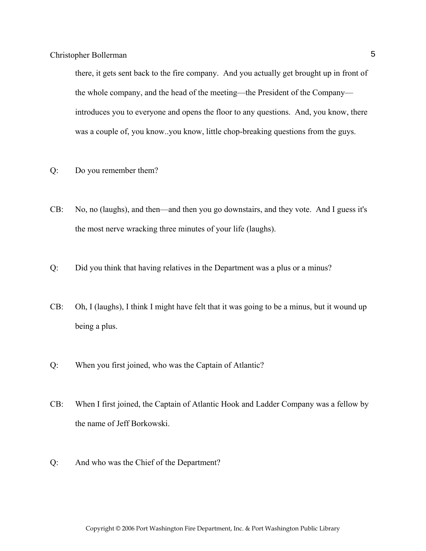there, it gets sent back to the fire company. And you actually get brought up in front of the whole company, and the head of the meeting—the President of the Company introduces you to everyone and opens the floor to any questions. And, you know, there was a couple of, you know..you know, little chop-breaking questions from the guys.

- Q: Do you remember them?
- CB: No, no (laughs), and then—and then you go downstairs, and they vote. And I guess it's the most nerve wracking three minutes of your life (laughs).
- Q: Did you think that having relatives in the Department was a plus or a minus?
- CB: Oh, I (laughs), I think I might have felt that it was going to be a minus, but it wound up being a plus.
- Q: When you first joined, who was the Captain of Atlantic?
- CB: When I first joined, the Captain of Atlantic Hook and Ladder Company was a fellow by the name of Jeff Borkowski.
- Q: And who was the Chief of the Department?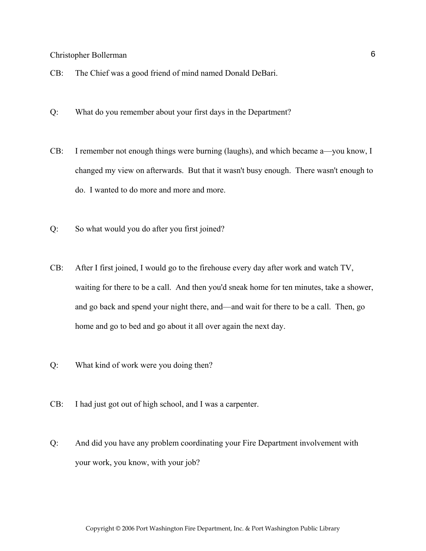- CB: The Chief was a good friend of mind named Donald DeBari.
- Q: What do you remember about your first days in the Department?
- CB: I remember not enough things were burning (laughs), and which became a—you know, I changed my view on afterwards. But that it wasn't busy enough. There wasn't enough to do. I wanted to do more and more and more.
- Q: So what would you do after you first joined?
- CB: After I first joined, I would go to the firehouse every day after work and watch TV, waiting for there to be a call. And then you'd sneak home for ten minutes, take a shower, and go back and spend your night there, and—and wait for there to be a call. Then, go home and go to bed and go about it all over again the next day.
- Q: What kind of work were you doing then?
- CB: I had just got out of high school, and I was a carpenter.
- Q: And did you have any problem coordinating your Fire Department involvement with your work, you know, with your job?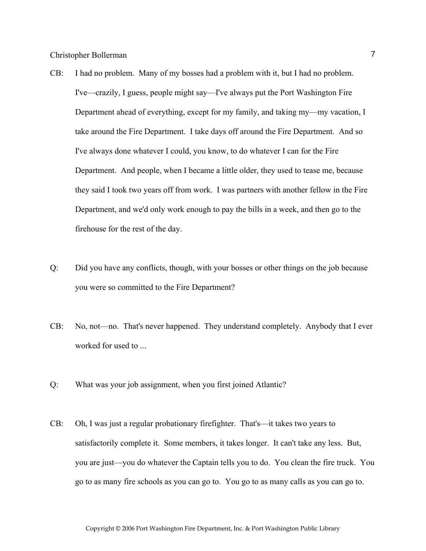- CB: I had no problem. Many of my bosses had a problem with it, but I had no problem. I've—crazily, I guess, people might say—I've always put the Port Washington Fire Department ahead of everything, except for my family, and taking my—my vacation, I take around the Fire Department. I take days off around the Fire Department. And so I've always done whatever I could, you know, to do whatever I can for the Fire Department. And people, when I became a little older, they used to tease me, because they said I took two years off from work. I was partners with another fellow in the Fire Department, and we'd only work enough to pay the bills in a week, and then go to the firehouse for the rest of the day.
- Q: Did you have any conflicts, though, with your bosses or other things on the job because you were so committed to the Fire Department?
- CB: No, not—no. That's never happened. They understand completely. Anybody that I ever worked for used to ...
- Q: What was your job assignment, when you first joined Atlantic?
- CB: Oh, I was just a regular probationary firefighter. That's—it takes two years to satisfactorily complete it. Some members, it takes longer. It can't take any less. But, you are just—you do whatever the Captain tells you to do. You clean the fire truck. You go to as many fire schools as you can go to. You go to as many calls as you can go to.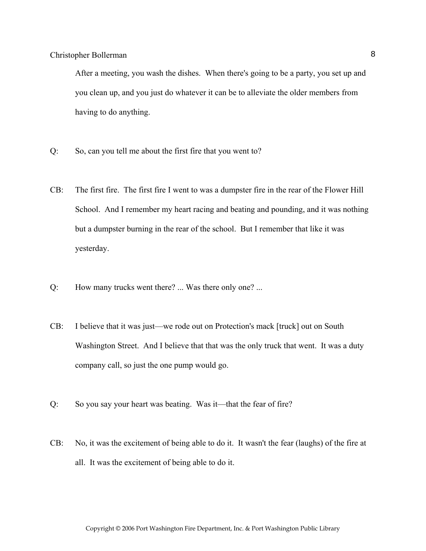After a meeting, you wash the dishes. When there's going to be a party, you set up and you clean up, and you just do whatever it can be to alleviate the older members from having to do anything.

- Q: So, can you tell me about the first fire that you went to?
- CB: The first fire. The first fire I went to was a dumpster fire in the rear of the Flower Hill School. And I remember my heart racing and beating and pounding, and it was nothing but a dumpster burning in the rear of the school. But I remember that like it was yesterday.
- Q: How many trucks went there? ... Was there only one? ...
- CB: I believe that it was just—we rode out on Protection's mack [truck] out on South Washington Street. And I believe that that was the only truck that went. It was a duty company call, so just the one pump would go.
- Q: So you say your heart was beating. Was it—that the fear of fire?
- CB: No, it was the excitement of being able to do it. It wasn't the fear (laughs) of the fire at all. It was the excitement of being able to do it.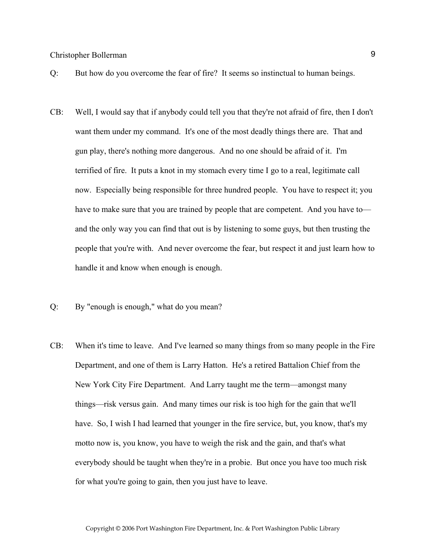- Q: But how do you overcome the fear of fire? It seems so instinctual to human beings.
- CB: Well, I would say that if anybody could tell you that they're not afraid of fire, then I don't want them under my command. It's one of the most deadly things there are. That and gun play, there's nothing more dangerous. And no one should be afraid of it. I'm terrified of fire. It puts a knot in my stomach every time I go to a real, legitimate call now. Especially being responsible for three hundred people. You have to respect it; you have to make sure that you are trained by people that are competent. And you have to and the only way you can find that out is by listening to some guys, but then trusting the people that you're with. And never overcome the fear, but respect it and just learn how to handle it and know when enough is enough.
- Q: By "enough is enough," what do you mean?
- CB: When it's time to leave. And I've learned so many things from so many people in the Fire Department, and one of them is Larry Hatton. He's a retired Battalion Chief from the New York City Fire Department. And Larry taught me the term—amongst many things—risk versus gain. And many times our risk is too high for the gain that we'll have. So, I wish I had learned that younger in the fire service, but, you know, that's my motto now is, you know, you have to weigh the risk and the gain, and that's what everybody should be taught when they're in a probie. But once you have too much risk for what you're going to gain, then you just have to leave.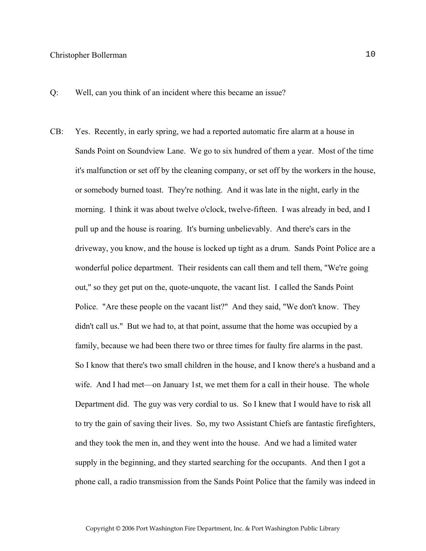Q: Well, can you think of an incident where this became an issue?

CB: Yes. Recently, in early spring, we had a reported automatic fire alarm at a house in Sands Point on Soundview Lane. We go to six hundred of them a year. Most of the time it's malfunction or set off by the cleaning company, or set off by the workers in the house, or somebody burned toast. They're nothing. And it was late in the night, early in the morning. I think it was about twelve o'clock, twelve-fifteen. I was already in bed, and I pull up and the house is roaring. It's burning unbelievably. And there's cars in the driveway, you know, and the house is locked up tight as a drum. Sands Point Police are a wonderful police department. Their residents can call them and tell them, "We're going out," so they get put on the, quote-unquote, the vacant list. I called the Sands Point Police. "Are these people on the vacant list?" And they said, "We don't know. They didn't call us." But we had to, at that point, assume that the home was occupied by a family, because we had been there two or three times for faulty fire alarms in the past. So I know that there's two small children in the house, and I know there's a husband and a wife. And I had met—on January 1st, we met them for a call in their house. The whole Department did. The guy was very cordial to us. So I knew that I would have to risk all to try the gain of saving their lives. So, my two Assistant Chiefs are fantastic firefighters, and they took the men in, and they went into the house. And we had a limited water supply in the beginning, and they started searching for the occupants. And then I got a phone call, a radio transmission from the Sands Point Police that the family was indeed in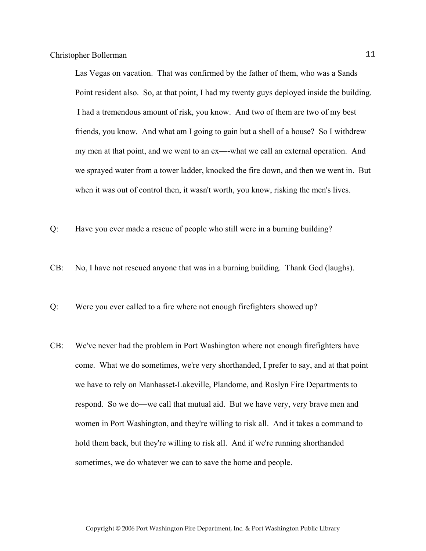Las Vegas on vacation. That was confirmed by the father of them, who was a Sands Point resident also. So, at that point, I had my twenty guys deployed inside the building. I had a tremendous amount of risk, you know. And two of them are two of my best friends, you know. And what am I going to gain but a shell of a house? So I withdrew my men at that point, and we went to an ex—-what we call an external operation. And we sprayed water from a tower ladder, knocked the fire down, and then we went in. But when it was out of control then, it wasn't worth, you know, risking the men's lives.

- Q: Have you ever made a rescue of people who still were in a burning building?
- CB: No, I have not rescued anyone that was in a burning building. Thank God (laughs).
- Q: Were you ever called to a fire where not enough firefighters showed up?
- CB: We've never had the problem in Port Washington where not enough firefighters have come. What we do sometimes, we're very shorthanded, I prefer to say, and at that point we have to rely on Manhasset-Lakeville, Plandome, and Roslyn Fire Departments to respond. So we do—we call that mutual aid. But we have very, very brave men and women in Port Washington, and they're willing to risk all. And it takes a command to hold them back, but they're willing to risk all. And if we're running shorthanded sometimes, we do whatever we can to save the home and people.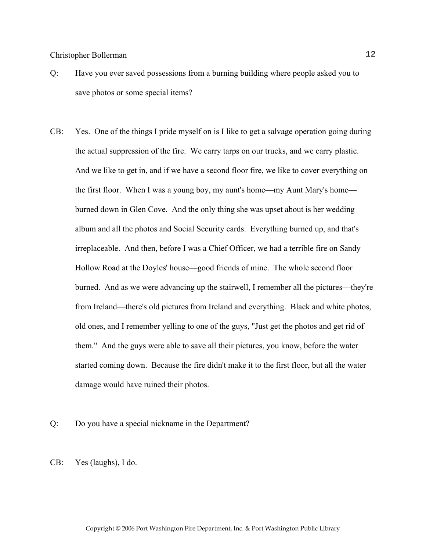- Q: Have you ever saved possessions from a burning building where people asked you to save photos or some special items?
- CB: Yes. One of the things I pride myself on is I like to get a salvage operation going during the actual suppression of the fire. We carry tarps on our trucks, and we carry plastic. And we like to get in, and if we have a second floor fire, we like to cover everything on the first floor. When I was a young boy, my aunt's home—my Aunt Mary's home burned down in Glen Cove. And the only thing she was upset about is her wedding album and all the photos and Social Security cards. Everything burned up, and that's irreplaceable. And then, before I was a Chief Officer, we had a terrible fire on Sandy Hollow Road at the Doyles' house—good friends of mine. The whole second floor burned. And as we were advancing up the stairwell, I remember all the pictures—they're from Ireland—there's old pictures from Ireland and everything. Black and white photos, old ones, and I remember yelling to one of the guys, "Just get the photos and get rid of them." And the guys were able to save all their pictures, you know, before the water started coming down. Because the fire didn't make it to the first floor, but all the water damage would have ruined their photos.
- Q: Do you have a special nickname in the Department?
- CB: Yes (laughs), I do.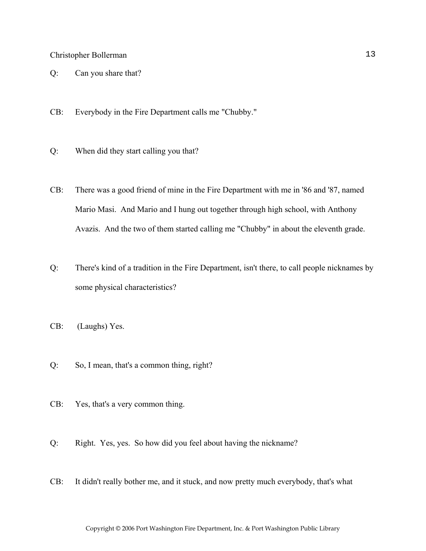- Q: Can you share that?
- CB: Everybody in the Fire Department calls me "Chubby."
- Q: When did they start calling you that?
- CB: There was a good friend of mine in the Fire Department with me in '86 and '87, named Mario Masi. And Mario and I hung out together through high school, with Anthony Avazis. And the two of them started calling me "Chubby" in about the eleventh grade.
- Q: There's kind of a tradition in the Fire Department, isn't there, to call people nicknames by some physical characteristics?
- CB: (Laughs) Yes.
- Q: So, I mean, that's a common thing, right?
- CB: Yes, that's a very common thing.
- Q: Right. Yes, yes. So how did you feel about having the nickname?
- CB: It didn't really bother me, and it stuck, and now pretty much everybody, that's what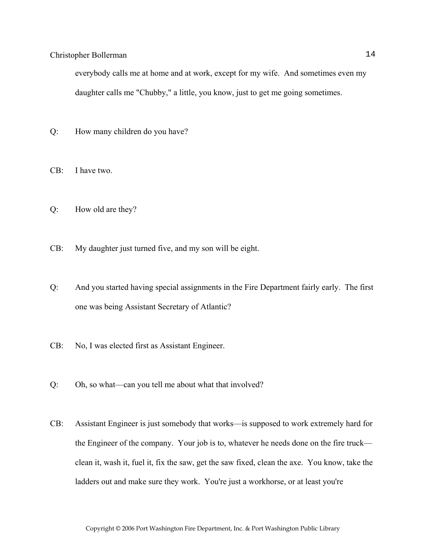everybody calls me at home and at work, except for my wife. And sometimes even my daughter calls me "Chubby," a little, you know, just to get me going sometimes.

- Q: How many children do you have?
- CB: I have two.
- Q: How old are they?
- CB: My daughter just turned five, and my son will be eight.
- Q: And you started having special assignments in the Fire Department fairly early. The first one was being Assistant Secretary of Atlantic?
- CB: No, I was elected first as Assistant Engineer.
- Q: Oh, so what—can you tell me about what that involved?
- CB: Assistant Engineer is just somebody that works—is supposed to work extremely hard for the Engineer of the company. Your job is to, whatever he needs done on the fire truck clean it, wash it, fuel it, fix the saw, get the saw fixed, clean the axe. You know, take the ladders out and make sure they work. You're just a workhorse, or at least you're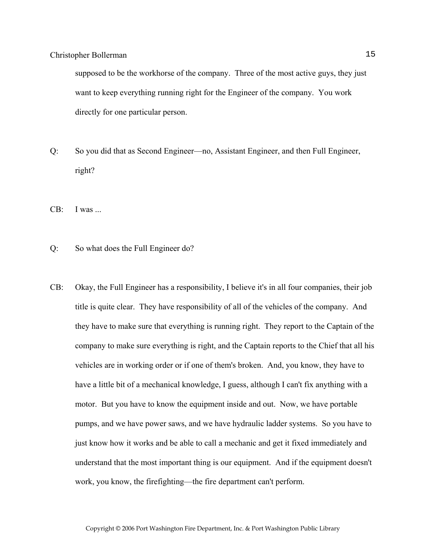supposed to be the workhorse of the company. Three of the most active guys, they just want to keep everything running right for the Engineer of the company. You work directly for one particular person.

Q: So you did that as Second Engineer—no, Assistant Engineer, and then Full Engineer, right?

CB: I was ...

- Q: So what does the Full Engineer do?
- CB: Okay, the Full Engineer has a responsibility, I believe it's in all four companies, their job title is quite clear. They have responsibility of all of the vehicles of the company. And they have to make sure that everything is running right. They report to the Captain of the company to make sure everything is right, and the Captain reports to the Chief that all his vehicles are in working order or if one of them's broken. And, you know, they have to have a little bit of a mechanical knowledge, I guess, although I can't fix anything with a motor. But you have to know the equipment inside and out. Now, we have portable pumps, and we have power saws, and we have hydraulic ladder systems. So you have to just know how it works and be able to call a mechanic and get it fixed immediately and understand that the most important thing is our equipment. And if the equipment doesn't work, you know, the firefighting—the fire department can't perform.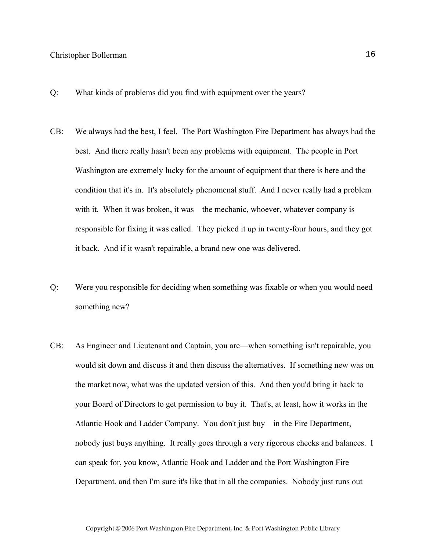- Q: What kinds of problems did you find with equipment over the years?
- CB: We always had the best, I feel. The Port Washington Fire Department has always had the best. And there really hasn't been any problems with equipment. The people in Port Washington are extremely lucky for the amount of equipment that there is here and the condition that it's in. It's absolutely phenomenal stuff. And I never really had a problem with it. When it was broken, it was—the mechanic, whoever, whatever company is responsible for fixing it was called. They picked it up in twenty-four hours, and they got it back. And if it wasn't repairable, a brand new one was delivered.
- Q: Were you responsible for deciding when something was fixable or when you would need something new?
- CB: As Engineer and Lieutenant and Captain, you are—when something isn't repairable, you would sit down and discuss it and then discuss the alternatives. If something new was on the market now, what was the updated version of this. And then you'd bring it back to your Board of Directors to get permission to buy it. That's, at least, how it works in the Atlantic Hook and Ladder Company. You don't just buy—in the Fire Department, nobody just buys anything. It really goes through a very rigorous checks and balances. I can speak for, you know, Atlantic Hook and Ladder and the Port Washington Fire Department, and then I'm sure it's like that in all the companies. Nobody just runs out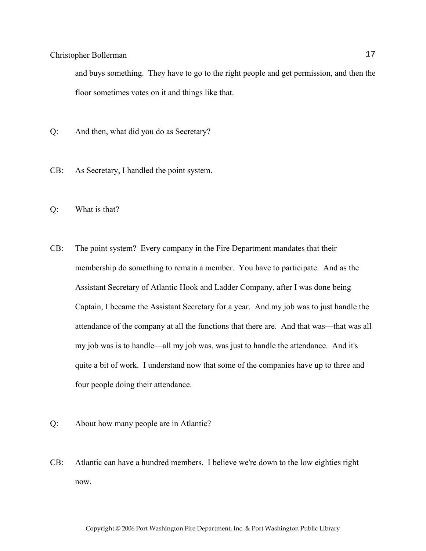and buys something. They have to go to the right people and get permission, and then the floor sometimes votes on it and things like that.

- Q: And then, what did you do as Secretary?
- CB: As Secretary, I handled the point system.
- Q: What is that?
- CB: The point system? Every company in the Fire Department mandates that their membership do something to remain a member. You have to participate. And as the Assistant Secretary of Atlantic Hook and Ladder Company, after I was done being Captain, I became the Assistant Secretary for a year. And my job was to just handle the attendance of the company at all the functions that there are. And that was—that was all my job was is to handle—all my job was, was just to handle the attendance. And it's quite a bit of work. I understand now that some of the companies have up to three and four people doing their attendance.
- Q: About how many people are in Atlantic?
- CB: Atlantic can have a hundred members. I believe we're down to the low eighties right now.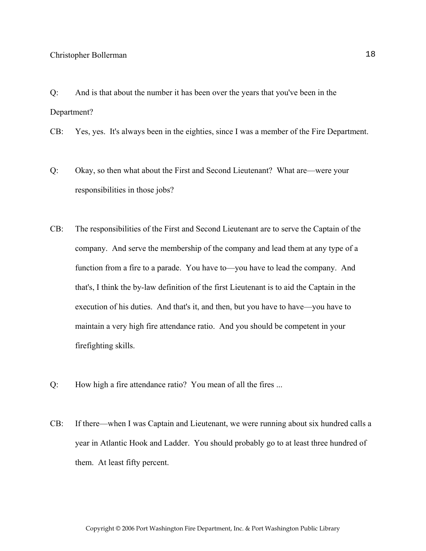Q: And is that about the number it has been over the years that you've been in the Department?

CB: Yes, yes. It's always been in the eighties, since I was a member of the Fire Department.

- Q: Okay, so then what about the First and Second Lieutenant? What are—were your responsibilities in those jobs?
- CB: The responsibilities of the First and Second Lieutenant are to serve the Captain of the company. And serve the membership of the company and lead them at any type of a function from a fire to a parade. You have to—you have to lead the company. And that's, I think the by-law definition of the first Lieutenant is to aid the Captain in the execution of his duties. And that's it, and then, but you have to have—you have to maintain a very high fire attendance ratio. And you should be competent in your firefighting skills.
- Q: How high a fire attendance ratio? You mean of all the fires ...
- CB: If there—when I was Captain and Lieutenant, we were running about six hundred calls a year in Atlantic Hook and Ladder. You should probably go to at least three hundred of them. At least fifty percent.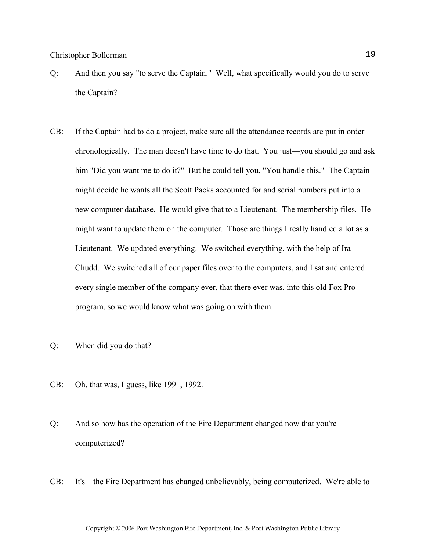- Q: And then you say "to serve the Captain." Well, what specifically would you do to serve the Captain?
- CB: If the Captain had to do a project, make sure all the attendance records are put in order chronologically. The man doesn't have time to do that. You just—you should go and ask him "Did you want me to do it?" But he could tell you, "You handle this." The Captain might decide he wants all the Scott Packs accounted for and serial numbers put into a new computer database. He would give that to a Lieutenant. The membership files. He might want to update them on the computer. Those are things I really handled a lot as a Lieutenant. We updated everything. We switched everything, with the help of Ira Chudd. We switched all of our paper files over to the computers, and I sat and entered every single member of the company ever, that there ever was, into this old Fox Pro program, so we would know what was going on with them.
- Q: When did you do that?
- CB: Oh, that was, I guess, like 1991, 1992.
- Q: And so how has the operation of the Fire Department changed now that you're computerized?
- CB: It's—the Fire Department has changed unbelievably, being computerized. We're able to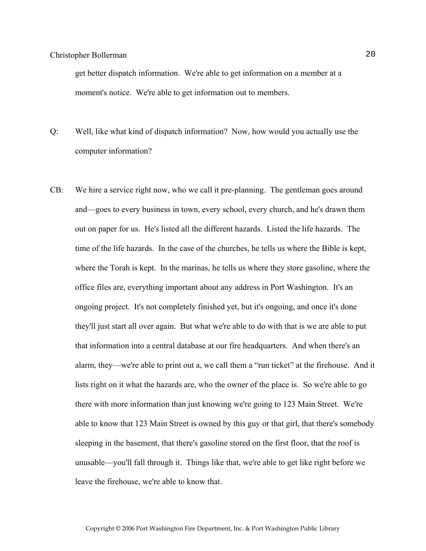get better dispatch information. We're able to get information on a member at a moment's notice. We're able to get information out to members.

- Q: Well, like what kind of dispatch information? Now, how would you actually use the computer information?
- CB: We hire a service right now, who we call it pre-planning. The gentleman goes around and—goes to every business in town, every school, every church, and he's drawn them out on paper for us. He's listed all the different hazards. Listed the life hazards. The time of the life hazards. In the case of the churches, he tells us where the Bible is kept, where the Torah is kept. In the marinas, he tells us where they store gasoline, where the office files are, everything important about any address in Port Washington. It's an ongoing project. It's not completely finished yet, but it's ongoing, and once it's done they'll just start all over again. But what we're able to do with that is we are able to put that information into a central database at our fire headquarters. And when there's an alarm, they—we're able to print out a, we call them a "run ticket" at the firehouse. And it lists right on it what the hazards are, who the owner of the place is. So we're able to go there with more information than just knowing we're going to 123 Main Street. We're able to know that 123 Main Street is owned by this guy or that girl, that there's somebody sleeping in the basement, that there's gasoline stored on the first floor, that the roof is unusable—you'll fall through it. Things like that, we're able to get like right before we leave the firehouse, we're able to know that.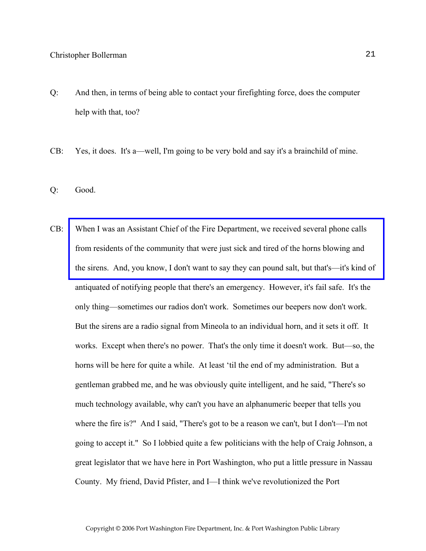- Q: And then, in terms of being able to contact your firefighting force, does the computer help with that, too?
- CB: Yes, it does. It's a—well, I'm going to be very bold and say it's a brainchild of mine.
- Q: Good.
- CB: When I was an Assistant Chief of the Fire Department, we received several phone calls from residents of the community that were just sick and tired of the horns blowing and [the sirens. And, you know, I don't want to say they can pound salt, but that's—it's kind of](http://www.pwfdhistory.com/trans/bollermanc_trans/nday_980118_hw.pdf)  antiquated of notifying people that there's an emergency. However, it's fail safe. It's the only thing—sometimes our radios don't work. Sometimes our beepers now don't work. But the sirens are a radio signal from Mineola to an individual horn, and it sets it off. It works. Except when there's no power. That's the only time it doesn't work. But—so, the horns will be here for quite a while. At least 'til the end of my administration. But a gentleman grabbed me, and he was obviously quite intelligent, and he said, "There's so much technology available, why can't you have an alphanumeric beeper that tells you where the fire is?" And I said, "There's got to be a reason we can't, but I don't—I'm not going to accept it." So I lobbied quite a few politicians with the help of Craig Johnson, a great legislator that we have here in Port Washington, who put a little pressure in Nassau County. My friend, David Pfister, and I—I think we've revolutionized the Port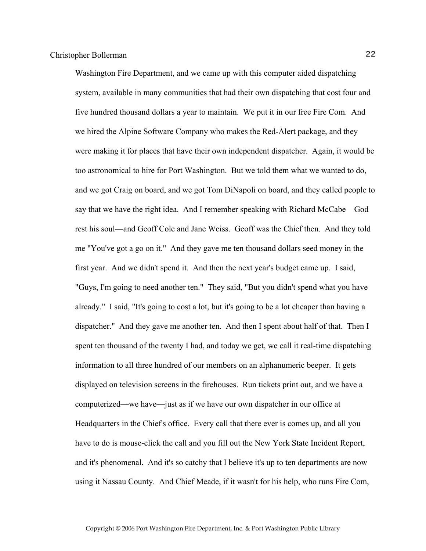Washington Fire Department, and we came up with this computer aided dispatching system, available in many communities that had their own dispatching that cost four and five hundred thousand dollars a year to maintain. We put it in our free Fire Com. And we hired the Alpine Software Company who makes the Red-Alert package, and they were making it for places that have their own independent dispatcher. Again, it would be too astronomical to hire for Port Washington. But we told them what we wanted to do, and we got Craig on board, and we got Tom DiNapoli on board, and they called people to say that we have the right idea. And I remember speaking with Richard McCabe—God rest his soul—and Geoff Cole and Jane Weiss. Geoff was the Chief then. And they told me "You've got a go on it." And they gave me ten thousand dollars seed money in the first year. And we didn't spend it. And then the next year's budget came up. I said, "Guys, I'm going to need another ten." They said, "But you didn't spend what you have already." I said, "It's going to cost a lot, but it's going to be a lot cheaper than having a dispatcher." And they gave me another ten. And then I spent about half of that. Then I spent ten thousand of the twenty I had, and today we get, we call it real-time dispatching information to all three hundred of our members on an alphanumeric beeper. It gets displayed on television screens in the firehouses. Run tickets print out, and we have a computerized—we have—just as if we have our own dispatcher in our office at Headquarters in the Chief's office. Every call that there ever is comes up, and all you have to do is mouse-click the call and you fill out the New York State Incident Report, and it's phenomenal. And it's so catchy that I believe it's up to ten departments are now using it Nassau County. And Chief Meade, if it wasn't for his help, who runs Fire Com,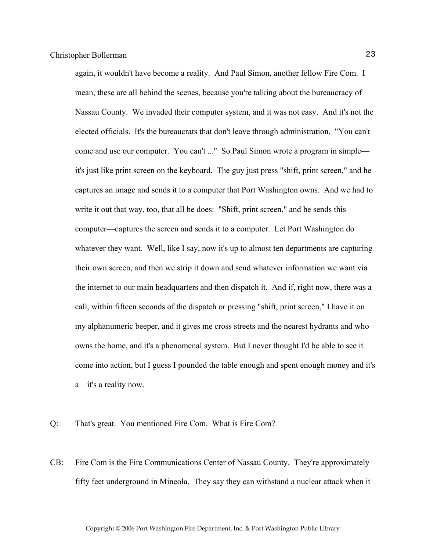again, it wouldn't have become a reality. And Paul Simon, another fellow Fire Com. I mean, these are all behind the scenes, because you're talking about the bureaucracy of Nassau County. We invaded their computer system, and it was not easy. And it's not the elected officials. It's the bureaucrats that don't leave through administration. "You can't come and use our computer. You can't ..." So Paul Simon wrote a program in simple it's just like print screen on the keyboard. The guy just press "shift, print screen," and he captures an image and sends it to a computer that Port Washington owns. And we had to write it out that way, too, that all he does: "Shift, print screen," and he sends this computer—captures the screen and sends it to a computer. Let Port Washington do whatever they want. Well, like I say, now it's up to almost ten departments are capturing their own screen, and then we strip it down and send whatever information we want via the internet to our main headquarters and then dispatch it. And if, right now, there was a call, within fifteen seconds of the dispatch or pressing "shift, print screen," I have it on my alphanumeric beeper, and it gives me cross streets and the nearest hydrants and who owns the home, and it's a phenomenal system. But I never thought I'd be able to see it come into action, but I guess I pounded the table enough and spent enough money and it's a—it's a reality now.

- Q: That's great. You mentioned Fire Com. What is Fire Com?
- CB: Fire Com is the Fire Communications Center of Nassau County. They're approximately fifty feet underground in Mineola. They say they can withstand a nuclear attack when it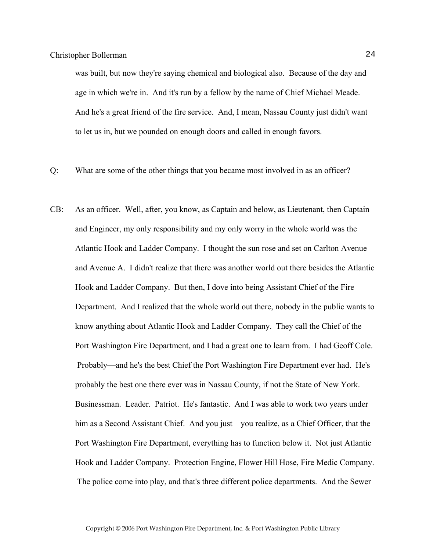was built, but now they're saying chemical and biological also. Because of the day and age in which we're in. And it's run by a fellow by the name of Chief Michael Meade. And he's a great friend of the fire service. And, I mean, Nassau County just didn't want to let us in, but we pounded on enough doors and called in enough favors.

- Q: What are some of the other things that you became most involved in as an officer?
- CB: As an officer. Well, after, you know, as Captain and below, as Lieutenant, then Captain and Engineer, my only responsibility and my only worry in the whole world was the Atlantic Hook and Ladder Company. I thought the sun rose and set on Carlton Avenue and Avenue A. I didn't realize that there was another world out there besides the Atlantic Hook and Ladder Company. But then, I dove into being Assistant Chief of the Fire Department. And I realized that the whole world out there, nobody in the public wants to know anything about Atlantic Hook and Ladder Company. They call the Chief of the Port Washington Fire Department, and I had a great one to learn from. I had Geoff Cole. Probably—and he's the best Chief the Port Washington Fire Department ever had. He's probably the best one there ever was in Nassau County, if not the State of New York. Businessman. Leader. Patriot. He's fantastic. And I was able to work two years under him as a Second Assistant Chief. And you just—you realize, as a Chief Officer, that the Port Washington Fire Department, everything has to function below it. Not just Atlantic Hook and Ladder Company. Protection Engine, Flower Hill Hose, Fire Medic Company. The police come into play, and that's three different police departments. And the Sewer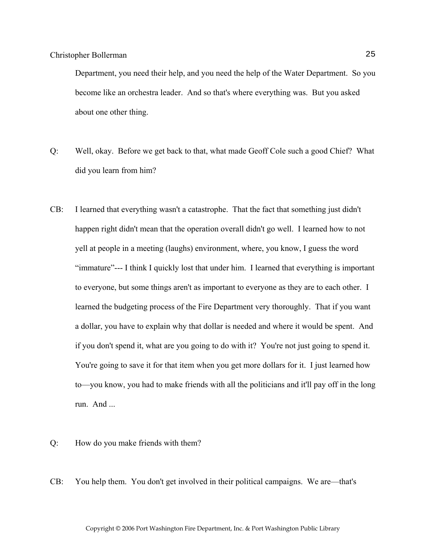Department, you need their help, and you need the help of the Water Department. So you become like an orchestra leader. And so that's where everything was. But you asked about one other thing.

- Q: Well, okay. Before we get back to that, what made Geoff Cole such a good Chief? What did you learn from him?
- CB: I learned that everything wasn't a catastrophe. That the fact that something just didn't happen right didn't mean that the operation overall didn't go well. I learned how to not yell at people in a meeting (laughs) environment, where, you know, I guess the word "immature"--- I think I quickly lost that under him. I learned that everything is important to everyone, but some things aren't as important to everyone as they are to each other. I learned the budgeting process of the Fire Department very thoroughly. That if you want a dollar, you have to explain why that dollar is needed and where it would be spent. And if you don't spend it, what are you going to do with it? You're not just going to spend it. You're going to save it for that item when you get more dollars for it. I just learned how to—you know, you had to make friends with all the politicians and it'll pay off in the long run. And ...
- Q: How do you make friends with them?
- CB: You help them. You don't get involved in their political campaigns. We are—that's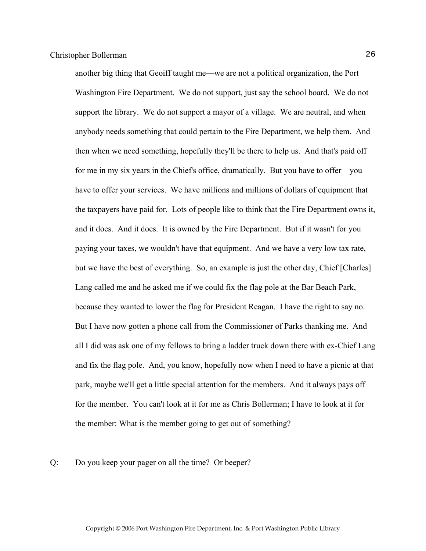another big thing that Geoiff taught me—we are not a political organization, the Port Washington Fire Department. We do not support, just say the school board. We do not support the library. We do not support a mayor of a village. We are neutral, and when anybody needs something that could pertain to the Fire Department, we help them. And then when we need something, hopefully they'll be there to help us. And that's paid off for me in my six years in the Chief's office, dramatically. But you have to offer—you have to offer your services. We have millions and millions of dollars of equipment that the taxpayers have paid for. Lots of people like to think that the Fire Department owns it, and it does. And it does. It is owned by the Fire Department. But if it wasn't for you paying your taxes, we wouldn't have that equipment. And we have a very low tax rate, but we have the best of everything. So, an example is just the other day, Chief [Charles] Lang called me and he asked me if we could fix the flag pole at the Bar Beach Park, because they wanted to lower the flag for President Reagan. I have the right to say no. But I have now gotten a phone call from the Commissioner of Parks thanking me. And all I did was ask one of my fellows to bring a ladder truck down there with ex-Chief Lang and fix the flag pole. And, you know, hopefully now when I need to have a picnic at that park, maybe we'll get a little special attention for the members. And it always pays off for the member. You can't look at it for me as Chris Bollerman; I have to look at it for the member: What is the member going to get out of something?

#### Q: Do you keep your pager on all the time? Or beeper?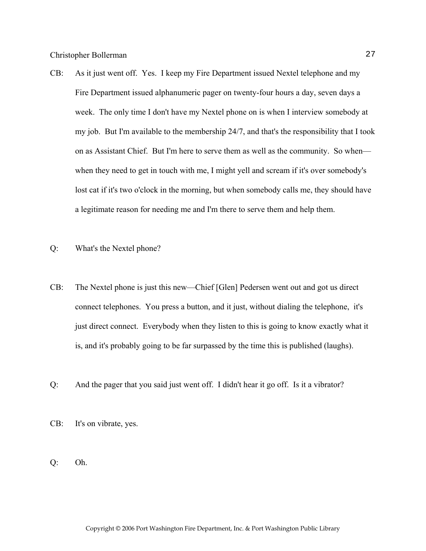- CB: As it just went off. Yes. I keep my Fire Department issued Nextel telephone and my Fire Department issued alphanumeric pager on twenty-four hours a day, seven days a week. The only time I don't have my Nextel phone on is when I interview somebody at my job. But I'm available to the membership 24/7, and that's the responsibility that I took on as Assistant Chief. But I'm here to serve them as well as the community. So when when they need to get in touch with me, I might yell and scream if it's over somebody's lost cat if it's two o'clock in the morning, but when somebody calls me, they should have a legitimate reason for needing me and I'm there to serve them and help them.
- Q: What's the Nextel phone?
- CB: The Nextel phone is just this new—Chief [Glen] Pedersen went out and got us direct connect telephones. You press a button, and it just, without dialing the telephone, it's just direct connect. Everybody when they listen to this is going to know exactly what it is, and it's probably going to be far surpassed by the time this is published (laughs).
- Q: And the pager that you said just went off. I didn't hear it go off. Is it a vibrator?
- CB: It's on vibrate, yes.
- Q: Oh.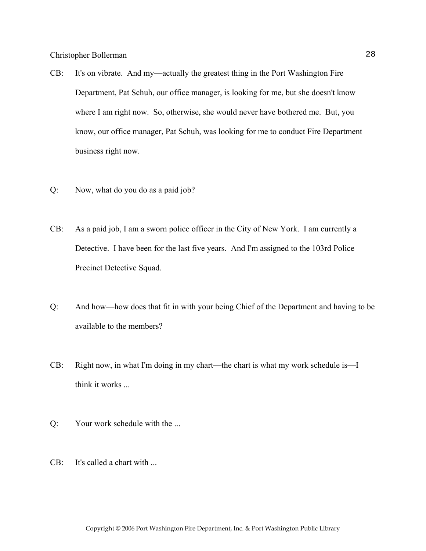- CB: It's on vibrate. And my—actually the greatest thing in the Port Washington Fire Department, Pat Schuh, our office manager, is looking for me, but she doesn't know where I am right now. So, otherwise, she would never have bothered me. But, you know, our office manager, Pat Schuh, was looking for me to conduct Fire Department business right now.
- Q: Now, what do you do as a paid job?
- CB: As a paid job, I am a sworn police officer in the City of New York. I am currently a Detective. I have been for the last five years. And I'm assigned to the 103rd Police Precinct Detective Squad.
- Q: And how—how does that fit in with your being Chief of the Department and having to be available to the members?
- CB: Right now, in what I'm doing in my chart—the chart is what my work schedule is—I think it works ...
- Q: Your work schedule with the ...
- CB: It's called a chart with ...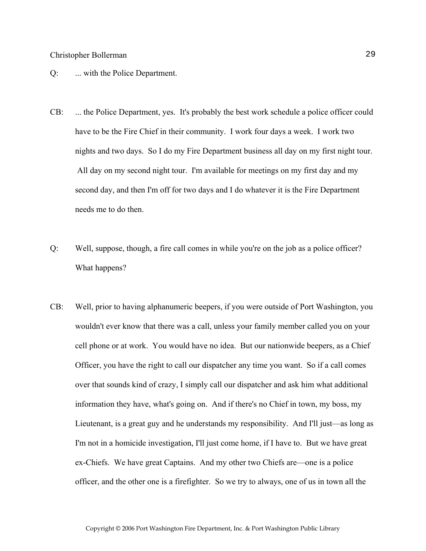#### Q: ... with the Police Department.

- CB: ... the Police Department, yes. It's probably the best work schedule a police officer could have to be the Fire Chief in their community. I work four days a week. I work two nights and two days. So I do my Fire Department business all day on my first night tour. All day on my second night tour. I'm available for meetings on my first day and my second day, and then I'm off for two days and I do whatever it is the Fire Department needs me to do then.
- Q: Well, suppose, though, a fire call comes in while you're on the job as a police officer? What happens?
- CB: Well, prior to having alphanumeric beepers, if you were outside of Port Washington, you wouldn't ever know that there was a call, unless your family member called you on your cell phone or at work. You would have no idea. But our nationwide beepers, as a Chief Officer, you have the right to call our dispatcher any time you want. So if a call comes over that sounds kind of crazy, I simply call our dispatcher and ask him what additional information they have, what's going on. And if there's no Chief in town, my boss, my Lieutenant, is a great guy and he understands my responsibility. And I'll just—as long as I'm not in a homicide investigation, I'll just come home, if I have to. But we have great ex-Chiefs. We have great Captains. And my other two Chiefs are—one is a police officer, and the other one is a firefighter. So we try to always, one of us in town all the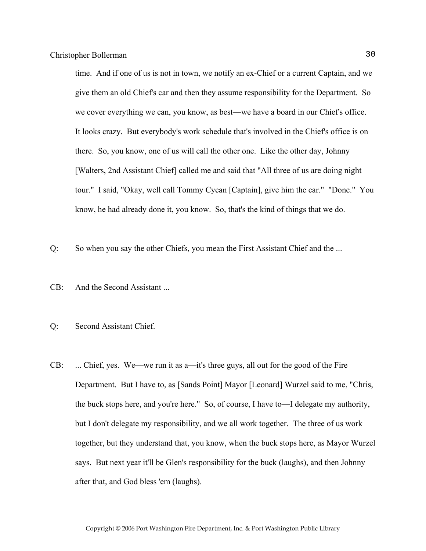time. And if one of us is not in town, we notify an ex-Chief or a current Captain, and we give them an old Chief's car and then they assume responsibility for the Department. So we cover everything we can, you know, as best—we have a board in our Chief's office. It looks crazy. But everybody's work schedule that's involved in the Chief's office is on there. So, you know, one of us will call the other one. Like the other day, Johnny [Walters, 2nd Assistant Chief] called me and said that "All three of us are doing night tour." I said, "Okay, well call Tommy Cycan [Captain], give him the car." "Done." You know, he had already done it, you know. So, that's the kind of things that we do.

Q: So when you say the other Chiefs, you mean the First Assistant Chief and the ...

- CB: And the Second Assistant ...
- Q: Second Assistant Chief.
- CB: ... Chief, yes. We—we run it as a—it's three guys, all out for the good of the Fire Department. But I have to, as [Sands Point] Mayor [Leonard] Wurzel said to me, "Chris, the buck stops here, and you're here." So, of course, I have to—I delegate my authority, but I don't delegate my responsibility, and we all work together. The three of us work together, but they understand that, you know, when the buck stops here, as Mayor Wurzel says. But next year it'll be Glen's responsibility for the buck (laughs), and then Johnny after that, and God bless 'em (laughs).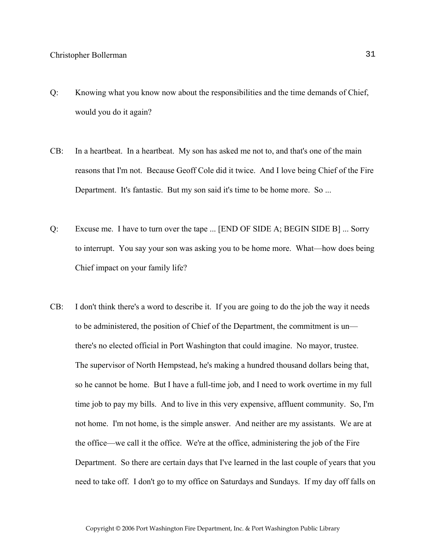- Q: Knowing what you know now about the responsibilities and the time demands of Chief, would you do it again?
- CB: In a heartbeat. In a heartbeat. My son has asked me not to, and that's one of the main reasons that I'm not. Because Geoff Cole did it twice. And I love being Chief of the Fire Department. It's fantastic. But my son said it's time to be home more. So ...
- Q: Excuse me. I have to turn over the tape ... [END OF SIDE A; BEGIN SIDE B] ... Sorry to interrupt. You say your son was asking you to be home more. What—how does being Chief impact on your family life?
- CB: I don't think there's a word to describe it. If you are going to do the job the way it needs to be administered, the position of Chief of the Department, the commitment is un there's no elected official in Port Washington that could imagine. No mayor, trustee. The supervisor of North Hempstead, he's making a hundred thousand dollars being that, so he cannot be home. But I have a full-time job, and I need to work overtime in my full time job to pay my bills. And to live in this very expensive, affluent community. So, I'm not home. I'm not home, is the simple answer. And neither are my assistants. We are at the office—we call it the office. We're at the office, administering the job of the Fire Department. So there are certain days that I've learned in the last couple of years that you need to take off. I don't go to my office on Saturdays and Sundays. If my day off falls on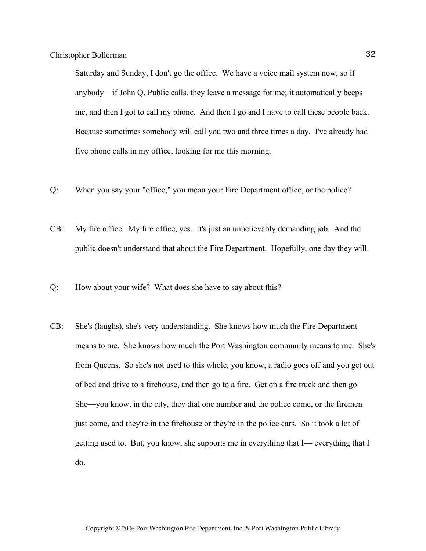Saturday and Sunday, I don't go the office. We have a voice mail system now, so if anybody—if John Q. Public calls, they leave a message for me; it automatically beeps me, and then I got to call my phone. And then I go and I have to call these people back. Because sometimes somebody will call you two and three times a day. I've already had five phone calls in my office, looking for me this morning.

- Q: When you say your "office," you mean your Fire Department office, or the police?
- CB: My fire office. My fire office, yes. It's just an unbelievably demanding job. And the public doesn't understand that about the Fire Department. Hopefully, one day they will.
- Q: How about your wife? What does she have to say about this?
- CB: She's (laughs), she's very understanding. She knows how much the Fire Department means to me. She knows how much the Port Washington community means to me. She's from Queens. So she's not used to this whole, you know, a radio goes off and you get out of bed and drive to a firehouse, and then go to a fire. Get on a fire truck and then go. She—you know, in the city, they dial one number and the police come, or the firemen just come, and they're in the firehouse or they're in the police cars. So it took a lot of getting used to. But, you know, she supports me in everything that I— everything that I do.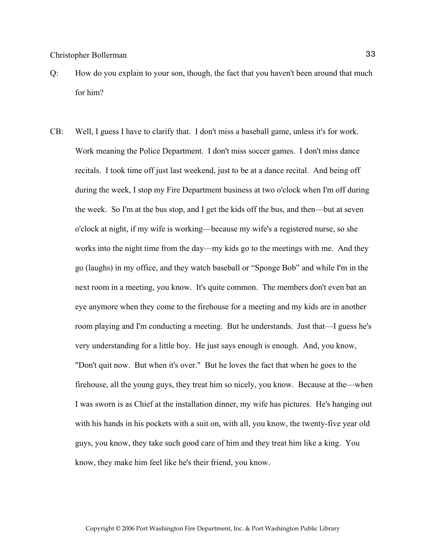- Q: How do you explain to your son, though, the fact that you haven't been around that much for him?
- CB: Well, I guess I have to clarify that. I don't miss a baseball game, unless it's for work. Work meaning the Police Department. I don't miss soccer games. I don't miss dance recitals. I took time off just last weekend, just to be at a dance recital. And being off during the week, I stop my Fire Department business at two o'clock when I'm off during the week. So I'm at the bus stop, and I get the kids off the bus, and then—but at seven o'clock at night, if my wife is working—because my wife's a registered nurse, so she works into the night time from the day—my kids go to the meetings with me. And they go (laughs) in my office, and they watch baseball or "Sponge Bob" and while I'm in the next room in a meeting, you know. It's quite common. The members don't even bat an eye anymore when they come to the firehouse for a meeting and my kids are in another room playing and I'm conducting a meeting. But he understands. Just that—I guess he's very understanding for a little boy. He just says enough is enough. And, you know, "Don't quit now. But when it's over." But he loves the fact that when he goes to the firehouse, all the young guys, they treat him so nicely, you know. Because at the—when I was sworn is as Chief at the installation dinner, my wife has pictures. He's hanging out with his hands in his pockets with a suit on, with all, you know, the twenty-five year old guys, you know, they take such good care of him and they treat him like a king. You know, they make him feel like he's their friend, you know.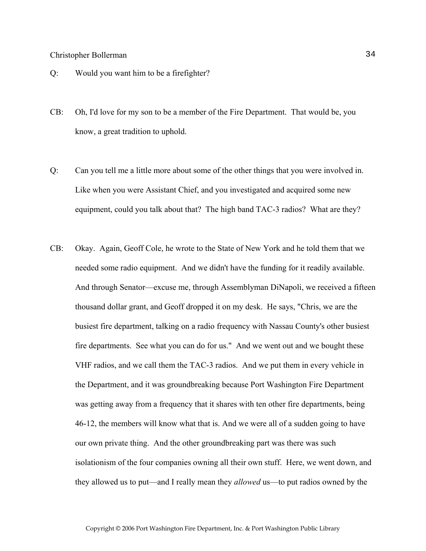- Q: Would you want him to be a firefighter?
- CB: Oh, I'd love for my son to be a member of the Fire Department. That would be, you know, a great tradition to uphold.
- Q: Can you tell me a little more about some of the other things that you were involved in. Like when you were Assistant Chief, and you investigated and acquired some new equipment, could you talk about that? The high band TAC-3 radios? What are they?
- CB: Okay. Again, Geoff Cole, he wrote to the State of New York and he told them that we needed some radio equipment. And we didn't have the funding for it readily available. And through Senator—excuse me, through Assemblyman DiNapoli, we received a fifteen thousand dollar grant, and Geoff dropped it on my desk. He says, "Chris, we are the busiest fire department, talking on a radio frequency with Nassau County's other busiest fire departments. See what you can do for us." And we went out and we bought these VHF radios, and we call them the TAC-3 radios. And we put them in every vehicle in the Department, and it was groundbreaking because Port Washington Fire Department was getting away from a frequency that it shares with ten other fire departments, being 46-12, the members will know what that is. And we were all of a sudden going to have our own private thing. And the other groundbreaking part was there was such isolationism of the four companies owning all their own stuff. Here, we went down, and they allowed us to put—and I really mean they *allowed* us—to put radios owned by the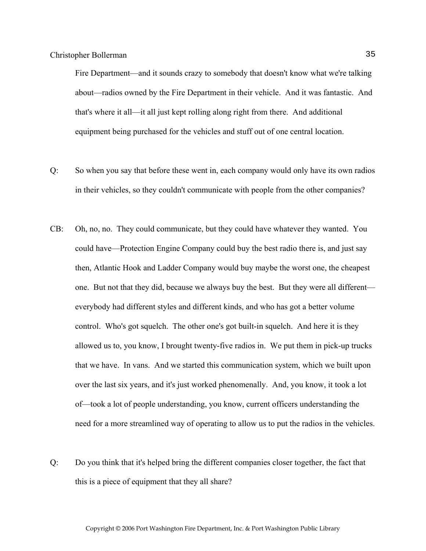Fire Department—and it sounds crazy to somebody that doesn't know what we're talking about—radios owned by the Fire Department in their vehicle. And it was fantastic. And that's where it all—it all just kept rolling along right from there. And additional equipment being purchased for the vehicles and stuff out of one central location.

- Q: So when you say that before these went in, each company would only have its own radios in their vehicles, so they couldn't communicate with people from the other companies?
- CB: Oh, no, no. They could communicate, but they could have whatever they wanted. You could have—Protection Engine Company could buy the best radio there is, and just say then, Atlantic Hook and Ladder Company would buy maybe the worst one, the cheapest one. But not that they did, because we always buy the best. But they were all different everybody had different styles and different kinds, and who has got a better volume control. Who's got squelch. The other one's got built-in squelch. And here it is they allowed us to, you know, I brought twenty-five radios in. We put them in pick-up trucks that we have. In vans. And we started this communication system, which we built upon over the last six years, and it's just worked phenomenally. And, you know, it took a lot of—took a lot of people understanding, you know, current officers understanding the need for a more streamlined way of operating to allow us to put the radios in the vehicles.
- Q: Do you think that it's helped bring the different companies closer together, the fact that this is a piece of equipment that they all share?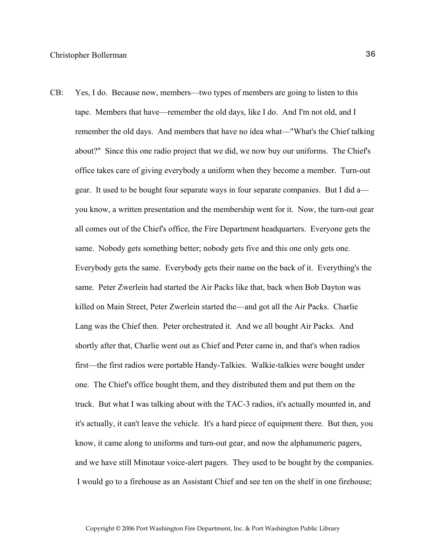CB: Yes, I do. Because now, members—two types of members are going to listen to this tape. Members that have—remember the old days, like I do. And I'm not old, and I remember the old days. And members that have no idea what—"What's the Chief talking about?" Since this one radio project that we did, we now buy our uniforms. The Chief's office takes care of giving everybody a uniform when they become a member. Turn-out gear. It used to be bought four separate ways in four separate companies. But I did a you know, a written presentation and the membership went for it. Now, the turn-out gear all comes out of the Chief's office, the Fire Department headquarters. Everyone gets the same. Nobody gets something better; nobody gets five and this one only gets one. Everybody gets the same. Everybody gets their name on the back of it. Everything's the same. Peter Zwerlein had started the Air Packs like that, back when Bob Dayton was killed on Main Street, Peter Zwerlein started the—and got all the Air Packs. Charlie Lang was the Chief then. Peter orchestrated it. And we all bought Air Packs. And shortly after that, Charlie went out as Chief and Peter came in, and that's when radios first—the first radios were portable Handy-Talkies. Walkie-talkies were bought under one. The Chief's office bought them, and they distributed them and put them on the truck. But what I was talking about with the TAC-3 radios, it's actually mounted in, and it's actually, it can't leave the vehicle. It's a hard piece of equipment there. But then, you know, it came along to uniforms and turn-out gear, and now the alphanumeric pagers, and we have still Minotaur voice-alert pagers. They used to be bought by the companies. I would go to a firehouse as an Assistant Chief and see ten on the shelf in one firehouse;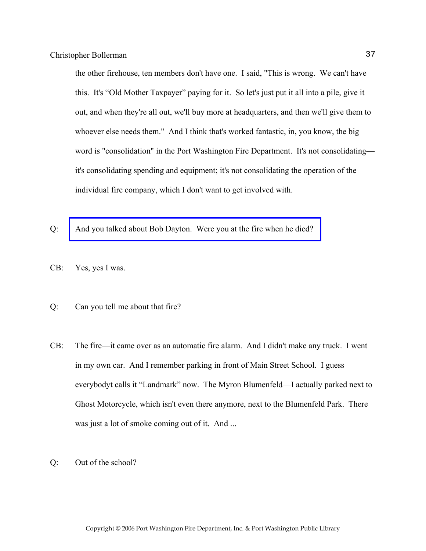the other firehouse, ten members don't have one. I said, "This is wrong. We can't have this. It's "Old Mother Taxpayer" paying for it. So let's just put it all into a pile, give it out, and when they're all out, we'll buy more at headquarters, and then we'll give them to whoever else needs them." And I think that's worked fantastic, in, you know, the big word is "consolidation" in the Port Washington Fire Department. It's not consolidating it's consolidating spending and equipment; it's not consolidating the operation of the individual fire company, which I don't want to get involved with.

- Q: [And you talked about Bob Dayton. Were you at the fire when he died?](http://www.pwfdhistory.com/trans/augustino_trans/nday881127.pdf)
- CB: Yes, yes I was.
- Q: Can you tell me about that fire?
- CB: The fire—it came over as an automatic fire alarm. And I didn't make any truck. I went in my own car. And I remember parking in front of Main Street School. I guess everybodyt calls it "Landmark" now. The Myron Blumenfeld—I actually parked next to Ghost Motorcycle, which isn't even there anymore, next to the Blumenfeld Park. There was just a lot of smoke coming out of it. And ...
- Q: Out of the school?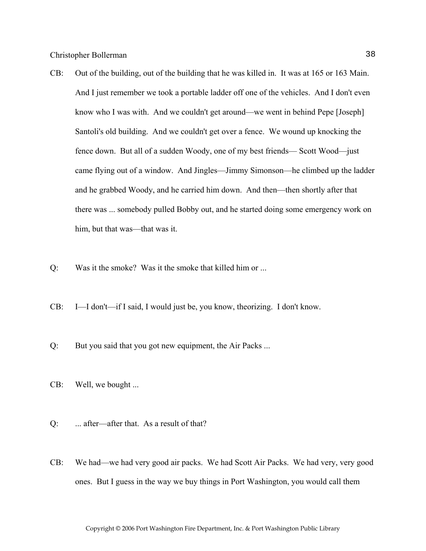- CB: Out of the building, out of the building that he was killed in. It was at 165 or 163 Main. And I just remember we took a portable ladder off one of the vehicles. And I don't even know who I was with. And we couldn't get around—we went in behind Pepe [Joseph] Santoli's old building. And we couldn't get over a fence. We wound up knocking the fence down. But all of a sudden Woody, one of my best friends— Scott Wood—just came flying out of a window. And Jingles—Jimmy Simonson—he climbed up the ladder and he grabbed Woody, and he carried him down. And then—then shortly after that there was ... somebody pulled Bobby out, and he started doing some emergency work on him, but that was—that was it.
- Q: Was it the smoke? Was it the smoke that killed him or ...
- CB: I—I don't—if I said, I would just be, you know, theorizing. I don't know.
- Q: But you said that you got new equipment, the Air Packs ...
- CB: Well, we bought ...
- Q: ... after—after that. As a result of that?
- CB: We had—we had very good air packs. We had Scott Air Packs. We had very, very good ones. But I guess in the way we buy things in Port Washington, you would call them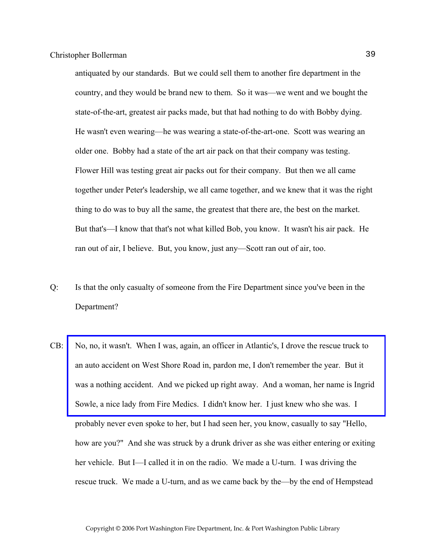antiquated by our standards. But we could sell them to another fire department in the country, and they would be brand new to them. So it was—we went and we bought the state-of-the-art, greatest air packs made, but that had nothing to do with Bobby dying. He wasn't even wearing—he was wearing a state-of-the-art-one. Scott was wearing an older one. Bobby had a state of the art air pack on that their company was testing. Flower Hill was testing great air packs out for their company. But then we all came together under Peter's leadership, we all came together, and we knew that it was the right thing to do was to buy all the same, the greatest that there are, the best on the market. But that's—I know that that's not what killed Bob, you know. It wasn't his air pack. He ran out of air, I believe. But, you know, just any—Scott ran out of air, too.

- Q: Is that the only casualty of someone from the Fire Department since you've been in the Department?
- CB: [No, no, it wasn't. When I was, again, an officer in Atlantic's, I drove the rescue truck to](http://www.pwfdhistory.com/trans/bergun_trans/pnews900222_pz_web.jpg)  an auto accident on West Shore Road in, pardon me, I don't remember the year. But it was a nothing accident. And we picked up right away. And a woman, her name is Ingrid Sowle, a nice lady from Fire Medics. I didn't know her. I just knew who she was. I probably never even spoke to her, but I had seen her, you know, casually to say "Hello, how are you?" And she was struck by a drunk driver as she was either entering or exiting her vehicle. But I—I called it in on the radio. We made a U-turn. I was driving the rescue truck. We made a U-turn, and as we came back by the—by the end of Hempstead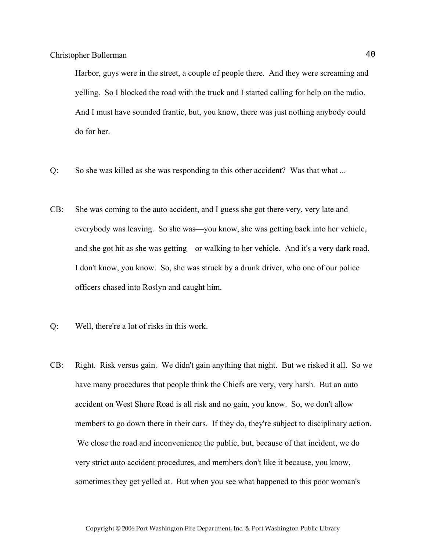Harbor, guys were in the street, a couple of people there. And they were screaming and yelling. So I blocked the road with the truck and I started calling for help on the radio. And I must have sounded frantic, but, you know, there was just nothing anybody could do for her.

- Q: So she was killed as she was responding to this other accident? Was that what ...
- CB: She was coming to the auto accident, and I guess she got there very, very late and everybody was leaving. So she was—you know, she was getting back into her vehicle, and she got hit as she was getting—or walking to her vehicle. And it's a very dark road. I don't know, you know. So, she was struck by a drunk driver, who one of our police officers chased into Roslyn and caught him.
- Q: Well, there're a lot of risks in this work.
- CB: Right. Risk versus gain. We didn't gain anything that night. But we risked it all. So we have many procedures that people think the Chiefs are very, very harsh. But an auto accident on West Shore Road is all risk and no gain, you know. So, we don't allow members to go down there in their cars. If they do, they're subject to disciplinary action. We close the road and inconvenience the public, but, because of that incident, we do very strict auto accident procedures, and members don't like it because, you know, sometimes they get yelled at. But when you see what happened to this poor woman's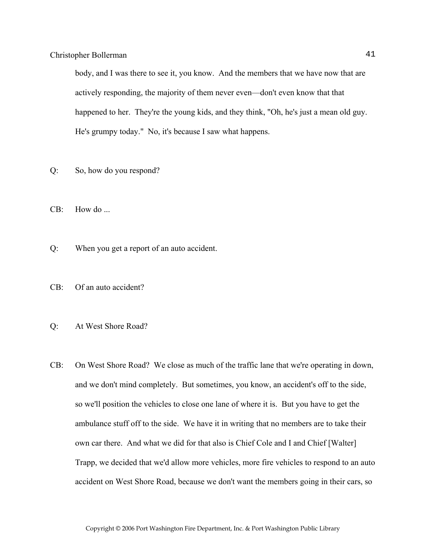body, and I was there to see it, you know. And the members that we have now that are actively responding, the majority of them never even—don't even know that that happened to her. They're the young kids, and they think, "Oh, he's just a mean old guy. He's grumpy today." No, it's because I saw what happens.

- Q: So, how do you respond?
- CB: How do ...
- Q: When you get a report of an auto accident.
- CB: Of an auto accident?
- Q: At West Shore Road?
- CB: On West Shore Road? We close as much of the traffic lane that we're operating in down, and we don't mind completely. But sometimes, you know, an accident's off to the side, so we'll position the vehicles to close one lane of where it is. But you have to get the ambulance stuff off to the side. We have it in writing that no members are to take their own car there. And what we did for that also is Chief Cole and I and Chief [Walter] Trapp, we decided that we'd allow more vehicles, more fire vehicles to respond to an auto accident on West Shore Road, because we don't want the members going in their cars, so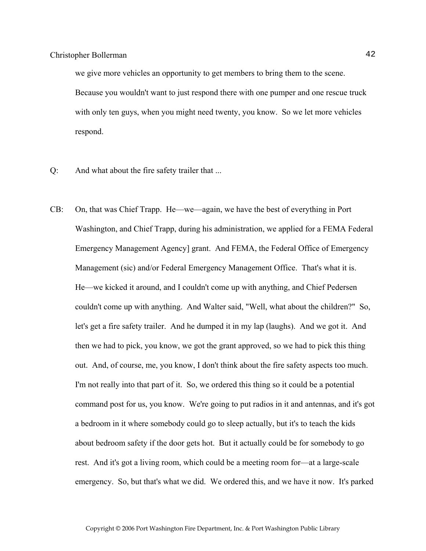we give more vehicles an opportunity to get members to bring them to the scene. Because you wouldn't want to just respond there with one pumper and one rescue truck with only ten guys, when you might need twenty, you know. So we let more vehicles respond.

- Q: And what about the fire safety trailer that ...
- CB: On, that was Chief Trapp. He—we—again, we have the best of everything in Port Washington, and Chief Trapp, during his administration, we applied for a FEMA Federal Emergency Management Agency] grant. And FEMA, the Federal Office of Emergency Management (sic) and/or Federal Emergency Management Office. That's what it is. He—we kicked it around, and I couldn't come up with anything, and Chief Pedersen couldn't come up with anything. And Walter said, "Well, what about the children?" So, let's get a fire safety trailer. And he dumped it in my lap (laughs). And we got it. And then we had to pick, you know, we got the grant approved, so we had to pick this thing out. And, of course, me, you know, I don't think about the fire safety aspects too much. I'm not really into that part of it. So, we ordered this thing so it could be a potential command post for us, you know. We're going to put radios in it and antennas, and it's got a bedroom in it where somebody could go to sleep actually, but it's to teach the kids about bedroom safety if the door gets hot. But it actually could be for somebody to go rest. And it's got a living room, which could be a meeting room for—at a large-scale emergency. So, but that's what we did. We ordered this, and we have it now. It's parked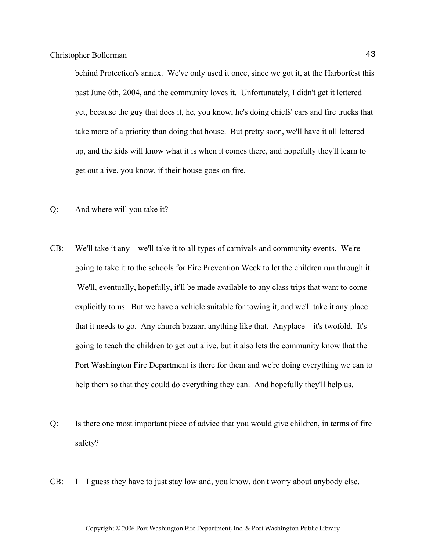behind Protection's annex. We've only used it once, since we got it, at the Harborfest this past June 6th, 2004, and the community loves it. Unfortunately, I didn't get it lettered yet, because the guy that does it, he, you know, he's doing chiefs' cars and fire trucks that take more of a priority than doing that house. But pretty soon, we'll have it all lettered up, and the kids will know what it is when it comes there, and hopefully they'll learn to get out alive, you know, if their house goes on fire.

- Q: And where will you take it?
- CB: We'll take it any—we'll take it to all types of carnivals and community events. We're going to take it to the schools for Fire Prevention Week to let the children run through it. We'll, eventually, hopefully, it'll be made available to any class trips that want to come explicitly to us. But we have a vehicle suitable for towing it, and we'll take it any place that it needs to go. Any church bazaar, anything like that. Anyplace—it's twofold. It's going to teach the children to get out alive, but it also lets the community know that the Port Washington Fire Department is there for them and we're doing everything we can to help them so that they could do everything they can. And hopefully they'll help us.
- Q: Is there one most important piece of advice that you would give children, in terms of fire safety?
- CB: I—I guess they have to just stay low and, you know, don't worry about anybody else.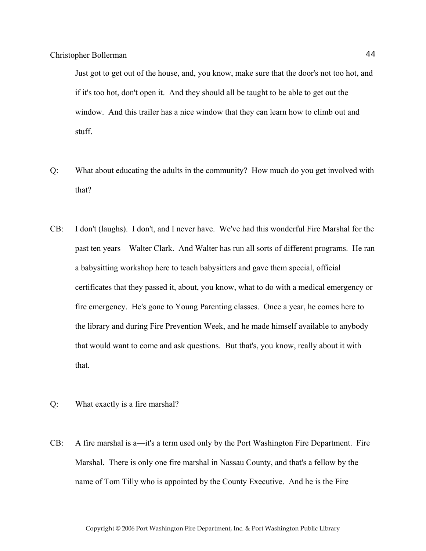Just got to get out of the house, and, you know, make sure that the door's not too hot, and if it's too hot, don't open it. And they should all be taught to be able to get out the window. And this trailer has a nice window that they can learn how to climb out and stuff.

- Q: What about educating the adults in the community? How much do you get involved with that?
- CB: I don't (laughs). I don't, and I never have. We've had this wonderful Fire Marshal for the past ten years—Walter Clark. And Walter has run all sorts of different programs. He ran a babysitting workshop here to teach babysitters and gave them special, official certificates that they passed it, about, you know, what to do with a medical emergency or fire emergency. He's gone to Young Parenting classes. Once a year, he comes here to the library and during Fire Prevention Week, and he made himself available to anybody that would want to come and ask questions. But that's, you know, really about it with that.
- Q: What exactly is a fire marshal?
- CB: A fire marshal is a—it's a term used only by the Port Washington Fire Department. Fire Marshal. There is only one fire marshal in Nassau County, and that's a fellow by the name of Tom Tilly who is appointed by the County Executive. And he is the Fire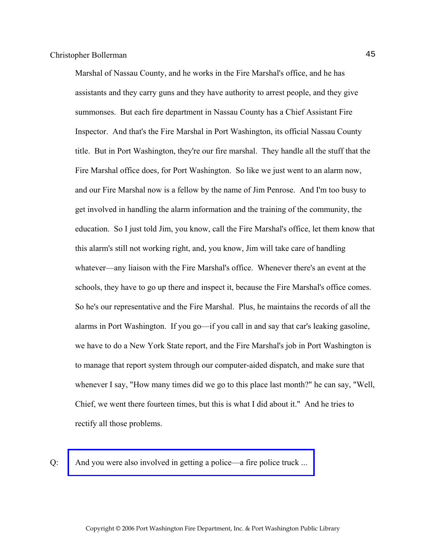Marshal of Nassau County, and he works in the Fire Marshal's office, and he has assistants and they carry guns and they have authority to arrest people, and they give summonses. But each fire department in Nassau County has a Chief Assistant Fire Inspector. And that's the Fire Marshal in Port Washington, its official Nassau County title. But in Port Washington, they're our fire marshal. They handle all the stuff that the Fire Marshal office does, for Port Washington. So like we just went to an alarm now, and our Fire Marshal now is a fellow by the name of Jim Penrose. And I'm too busy to get involved in handling the alarm information and the training of the community, the education. So I just told Jim, you know, call the Fire Marshal's office, let them know that this alarm's still not working right, and, you know, Jim will take care of handling whatever—any liaison with the Fire Marshal's office. Whenever there's an event at the schools, they have to go up there and inspect it, because the Fire Marshal's office comes. So he's our representative and the Fire Marshal. Plus, he maintains the records of all the alarms in Port Washington. If you go—if you call in and say that car's leaking gasoline, we have to do a New York State report, and the Fire Marshal's job in Port Washington is to manage that report system through our computer-aided dispatch, and make sure that whenever I say, "How many times did we go to this place last month?" he can say, "Well, Chief, we went there fourteen times, but this is what I did about it." And he tries to rectify all those problems.

Q: [And you were also involved in getting a police—a fire police truck ...](http://www.pwfdhistory.com/trans/bollermanc_trans/pwfd_vehicle001.jpg)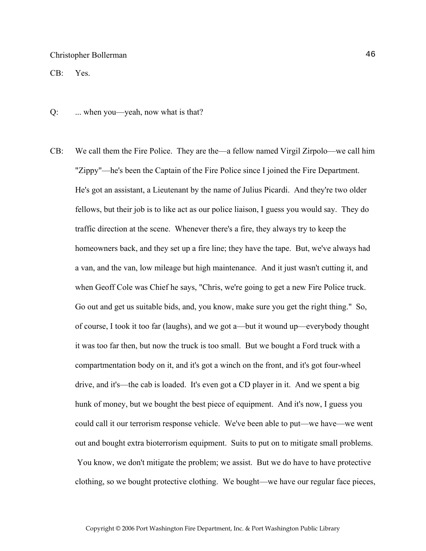CB: Yes.

- Q: ... when you—yeah, now what is that?
- CB: We call them the Fire Police. They are the—a fellow named Virgil Zirpolo—we call him "Zippy"—he's been the Captain of the Fire Police since I joined the Fire Department. He's got an assistant, a Lieutenant by the name of Julius Picardi. And they're two older fellows, but their job is to like act as our police liaison, I guess you would say. They do traffic direction at the scene. Whenever there's a fire, they always try to keep the homeowners back, and they set up a fire line; they have the tape. But, we've always had a van, and the van, low mileage but high maintenance. And it just wasn't cutting it, and when Geoff Cole was Chief he says, "Chris, we're going to get a new Fire Police truck. Go out and get us suitable bids, and, you know, make sure you get the right thing." So, of course, I took it too far (laughs), and we got a—but it wound up—everybody thought it was too far then, but now the truck is too small. But we bought a Ford truck with a compartmentation body on it, and it's got a winch on the front, and it's got four-wheel drive, and it's—the cab is loaded. It's even got a CD player in it. And we spent a big hunk of money, but we bought the best piece of equipment. And it's now, I guess you could call it our terrorism response vehicle. We've been able to put—we have—we went out and bought extra bioterrorism equipment. Suits to put on to mitigate small problems. You know, we don't mitigate the problem; we assist. But we do have to have protective clothing, so we bought protective clothing. We bought—we have our regular face pieces,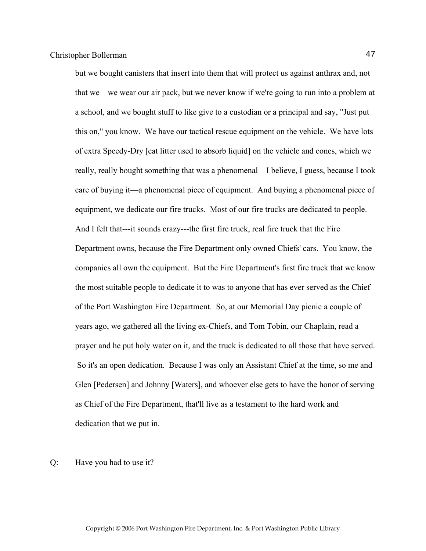but we bought canisters that insert into them that will protect us against anthrax and, not that we—we wear our air pack, but we never know if we're going to run into a problem at a school, and we bought stuff to like give to a custodian or a principal and say, "Just put this on," you know. We have our tactical rescue equipment on the vehicle. We have lots of extra Speedy-Dry [cat litter used to absorb liquid] on the vehicle and cones, which we really, really bought something that was a phenomenal—I believe, I guess, because I took care of buying it—a phenomenal piece of equipment. And buying a phenomenal piece of equipment, we dedicate our fire trucks. Most of our fire trucks are dedicated to people. And I felt that---it sounds crazy---the first fire truck, real fire truck that the Fire Department owns, because the Fire Department only owned Chiefs' cars. You know, the companies all own the equipment. But the Fire Department's first fire truck that we know the most suitable people to dedicate it to was to anyone that has ever served as the Chief of the Port Washington Fire Department. So, at our Memorial Day picnic a couple of years ago, we gathered all the living ex-Chiefs, and Tom Tobin, our Chaplain, read a prayer and he put holy water on it, and the truck is dedicated to all those that have served. So it's an open dedication. Because I was only an Assistant Chief at the time, so me and Glen [Pedersen] and Johnny [Waters], and whoever else gets to have the honor of serving as Chief of the Fire Department, that'll live as a testament to the hard work and dedication that we put in.

Q: Have you had to use it?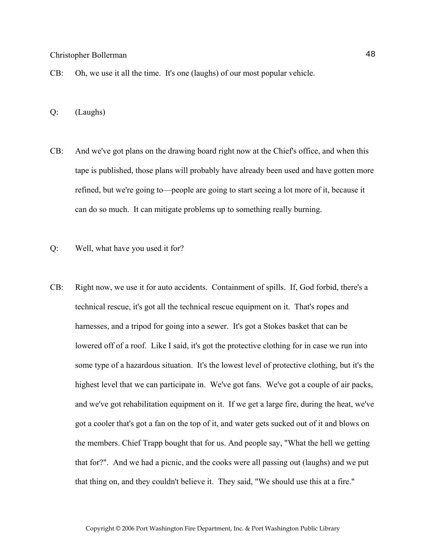- CB: Oh, we use it all the time. It's one (laughs) of our most popular vehicle.
- Q: (Laughs)
- CB: And we've got plans on the drawing board right now at the Chief's office, and when this tape is published, those plans will probably have already been used and have gotten more refined, but we're going to—people are going to start seeing a lot more of it, because it can do so much. It can mitigate problems up to something really burning.
- Q: Well, what have you used it for?
- CB: Right now, we use it for auto accidents. Containment of spills. If, God forbid, there's a technical rescue, it's got all the technical rescue equipment on it. That's ropes and harnesses, and a tripod for going into a sewer. It's got a Stokes basket that can be lowered off of a roof. Like I said, it's got the protective clothing for in case we run into some type of a hazardous situation. It's the lowest level of protective clothing, but it's the highest level that we can participate in. We've got fans. We've got a couple of air packs, and we've got rehabilitation equipment on it. If we get a large fire, during the heat, we've got a cooler that's got a fan on the top of it, and water gets sucked out of it and blows on the members. Chief Trapp bought that for us. And people say, "What the hell we getting that for?". And we had a picnic, and the cooks were all passing out (laughs) and we put that thing on, and they couldn't believe it. They said, "We should use this at a fire."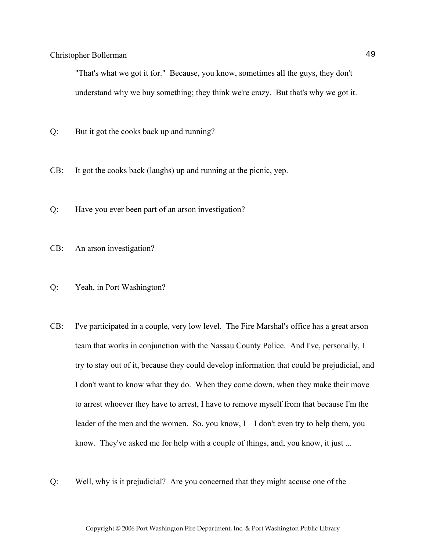"That's what we got it for." Because, you know, sometimes all the guys, they don't understand why we buy something; they think we're crazy. But that's why we got it.

- Q: But it got the cooks back up and running?
- CB: It got the cooks back (laughs) up and running at the picnic, yep.
- Q: Have you ever been part of an arson investigation?
- CB: An arson investigation?
- Q: Yeah, in Port Washington?
- CB: I've participated in a couple, very low level. The Fire Marshal's office has a great arson team that works in conjunction with the Nassau County Police. And I've, personally, I try to stay out of it, because they could develop information that could be prejudicial, and I don't want to know what they do. When they come down, when they make their move to arrest whoever they have to arrest, I have to remove myself from that because I'm the leader of the men and the women. So, you know, I—I don't even try to help them, you know. They've asked me for help with a couple of things, and, you know, it just ...
- Q: Well, why is it prejudicial? Are you concerned that they might accuse one of the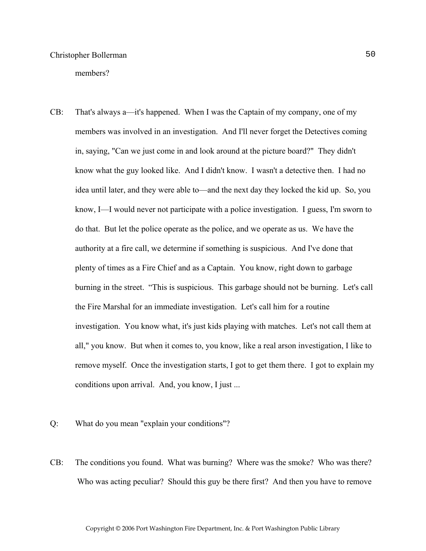members?

- CB: That's always a—it's happened. When I was the Captain of my company, one of my members was involved in an investigation. And I'll never forget the Detectives coming in, saying, "Can we just come in and look around at the picture board?" They didn't know what the guy looked like. And I didn't know. I wasn't a detective then. I had no idea until later, and they were able to—and the next day they locked the kid up. So, you know, I—I would never not participate with a police investigation. I guess, I'm sworn to do that. But let the police operate as the police, and we operate as us. We have the authority at a fire call, we determine if something is suspicious. And I've done that plenty of times as a Fire Chief and as a Captain. You know, right down to garbage burning in the street. "This is suspicious. This garbage should not be burning. Let's call the Fire Marshal for an immediate investigation. Let's call him for a routine investigation. You know what, it's just kids playing with matches. Let's not call them at all," you know. But when it comes to, you know, like a real arson investigation, I like to remove myself. Once the investigation starts, I got to get them there. I got to explain my conditions upon arrival. And, you know, I just ...
- Q: What do you mean "explain your conditions"?
- CB: The conditions you found. What was burning? Where was the smoke? Who was there? Who was acting peculiar? Should this guy be there first? And then you have to remove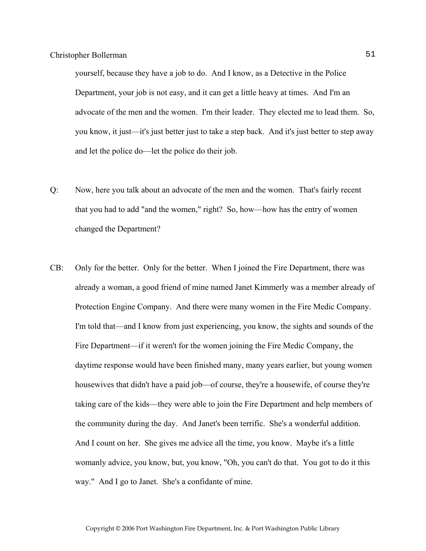yourself, because they have a job to do. And I know, as a Detective in the Police Department, your job is not easy, and it can get a little heavy at times. And I'm an advocate of the men and the women. I'm their leader. They elected me to lead them. So, you know, it just—it's just better just to take a step back. And it's just better to step away and let the police do—let the police do their job.

- Q: Now, here you talk about an advocate of the men and the women. That's fairly recent that you had to add "and the women," right? So, how—how has the entry of women changed the Department?
- CB: Only for the better. Only for the better. When I joined the Fire Department, there was already a woman, a good friend of mine named Janet Kimmerly was a member already of Protection Engine Company. And there were many women in the Fire Medic Company. I'm told that—and I know from just experiencing, you know, the sights and sounds of the Fire Department—if it weren't for the women joining the Fire Medic Company, the daytime response would have been finished many, many years earlier, but young women housewives that didn't have a paid job—of course, they're a housewife, of course they're taking care of the kids—they were able to join the Fire Department and help members of the community during the day. And Janet's been terrific. She's a wonderful addition. And I count on her. She gives me advice all the time, you know. Maybe it's a little womanly advice, you know, but, you know, "Oh, you can't do that. You got to do it this way." And I go to Janet. She's a confidante of mine.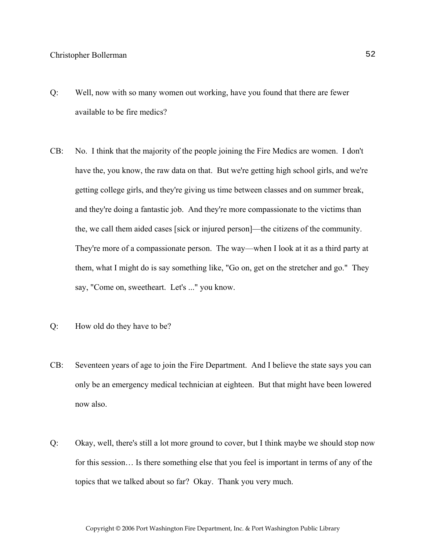- Q: Well, now with so many women out working, have you found that there are fewer available to be fire medics?
- CB: No. I think that the majority of the people joining the Fire Medics are women. I don't have the, you know, the raw data on that. But we're getting high school girls, and we're getting college girls, and they're giving us time between classes and on summer break, and they're doing a fantastic job. And they're more compassionate to the victims than the, we call them aided cases [sick or injured person]—the citizens of the community. They're more of a compassionate person. The way—when I look at it as a third party at them, what I might do is say something like, "Go on, get on the stretcher and go." They say, "Come on, sweetheart. Let's ..." you know.
- Q: How old do they have to be?
- CB: Seventeen years of age to join the Fire Department. And I believe the state says you can only be an emergency medical technician at eighteen. But that might have been lowered now also.
- Q: Okay, well, there's still a lot more ground to cover, but I think maybe we should stop now for this session… Is there something else that you feel is important in terms of any of the topics that we talked about so far? Okay. Thank you very much.